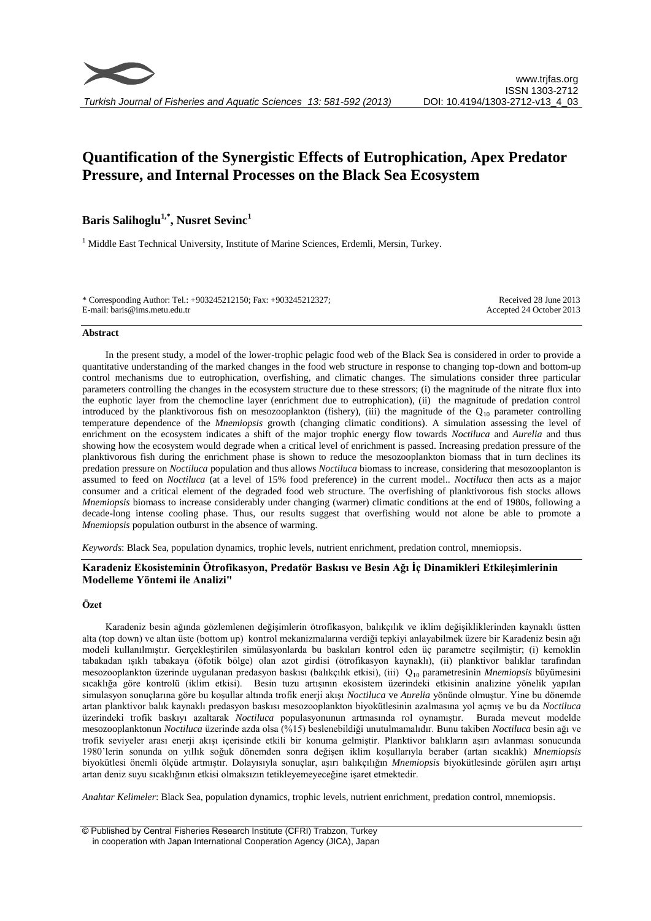

# **Quantification of the Synergistic Effects of Eutrophication, Apex Predator Pressure, and Internal Processes on the Black Sea Ecosystem**

## **Baris Salihoglu1,\* , Nusret Sevinc<sup>1</sup>**

<sup>1</sup> Middle East Technical University, Institute of Marine Sciences, Erdemli, Mersin, Turkey.

\* Corresponding Author: Tel.: +903245212150; Fax: +903245212327; E-mail: baris@ims.metu.edu.tr

Received 28 June 2013 Accepted 24 October 2013

#### **Abstract**

In the present study, a model of the lower-trophic pelagic food web of the Black Sea is considered in order to provide a quantitative understanding of the marked changes in the food web structure in response to changing top-down and bottom-up control mechanisms due to eutrophication, overfishing, and climatic changes. The simulations consider three particular parameters controlling the changes in the ecosystem structure due to these stressors; (i) the magnitude of the nitrate flux into the euphotic layer from the chemocline layer (enrichment due to eutrophication), (ii) the magnitude of predation control introduced by the planktivorous fish on mesozooplankton (fishery), (iii) the magnitude of the  $Q_{10}$  parameter controlling temperature dependence of the *Mnemiopsis* growth (changing climatic conditions). A simulation assessing the level of enrichment on the ecosystem indicates a shift of the major trophic energy flow towards *Noctiluca* and *Aurelia* and thus showing how the ecosystem would degrade when a critical level of enrichment is passed. Increasing predation pressure of the planktivorous fish during the enrichment phase is shown to reduce the mesozooplankton biomass that in turn declines its predation pressure on *Noctiluca* population and thus allows *Noctiluca* biomass to increase, considering that mesozooplanton is assumed to feed on *Noctiluca* (at a level of 15% food preference) in the current model.. *Noctiluca* then acts as a major consumer and a critical element of the degraded food web structure. The overfishing of planktivorous fish stocks allows *Mnemiopsis* biomass to increase considerably under changing (warmer) climatic conditions at the end of 1980s, following a decade-long intense cooling phase. Thus, our results suggest that overfishing would not alone be able to promote a *Mnemiopsis* population outburst in the absence of warming.

*Keywords*: Black Sea, population dynamics, trophic levels, nutrient enrichment, predation control, mnemiopsis.

## **Karadeniz Ekosisteminin Ötrofikasyon, Predatör Baskısı ve Besin Ağı İç Dinamikleri Etkileşimlerinin Modelleme Yöntemi ile Analizi"**

## **Özet**

Karadeniz besin ağında gözlemlenen değişimlerin ötrofikasyon, balıkçılık ve iklim değişikliklerinden kaynaklı üstten alta (top down) ve altan üste (bottom up) kontrol mekanizmalarına verdiği tepkiyi anlayabilmek üzere bir Karadeniz besin ağı modeli kullanılmıştır. Gerçekleştirilen simülasyonlarda bu baskıları kontrol eden üç parametre seçilmiştir; (i) kemoklin tabakadan ışıklı tabakaya (öfotik bölge) olan azot girdisi (ötrofikasyon kaynaklı), (ii) planktivor balıklar tarafından mesozooplankton üzerinde uygulanan predasyon baskısı (balıkçılık etkisi), (iii) Q<sup>10</sup> parametresinin *Mnemiopsis* büyümesini sıcaklığa göre kontrolü (iklim etkisi). Besin tuzu artışının ekosistem üzerindeki etkisinin analizine yönelik yapılan simulasyon sonuçlarına göre bu koşullar altında trofik enerji akışı *Noctiluca* ve *Aurelia* yönünde olmuştur. Yine bu dönemde artan planktivor balık kaynaklı predasyon baskısı mesozooplankton biyokütlesinin azalmasına yol açmış ve bu da *Noctiluca* üzerindeki trofik baskıyı azaltarak *Noctiluca* populasyonunun artmasında rol oynamıştır. Burada mevcut modelde mesozooplanktonun *Noctiluca* üzerinde azda olsa (%15) beslenebildiği unutulmamalıdır. Bunu takiben *Noctiluca* besin ağı ve trofik seviyeler arası enerji akışı içerisinde etkili bir konuma gelmiştir. Planktivor balıkların aşırı avlanması sonucunda 1980'lerin sonunda on yıllık soğuk dönemden sonra değişen iklim koşullarıyla beraber (artan sıcaklık) *Mnemiopsis* biyokütlesi önemli ölçüde artmıştır. Dolayısıyla sonuçlar, aşırı balıkçılığın *Mnemiopsis* biyokütlesinde görülen aşırı artışı artan deniz suyu sıcaklığının etkisi olmaksızın tetikleyemeyeceğine işaret etmektedir.

*Anahtar Kelimeler*: Black Sea, population dynamics, trophic levels, nutrient enrichment, predation control, mnemiopsis.

© Published by Central Fisheries Research Institute (CFRI) Trabzon, Turkey in cooperation with Japan International Cooperation Agency (JICA), Japan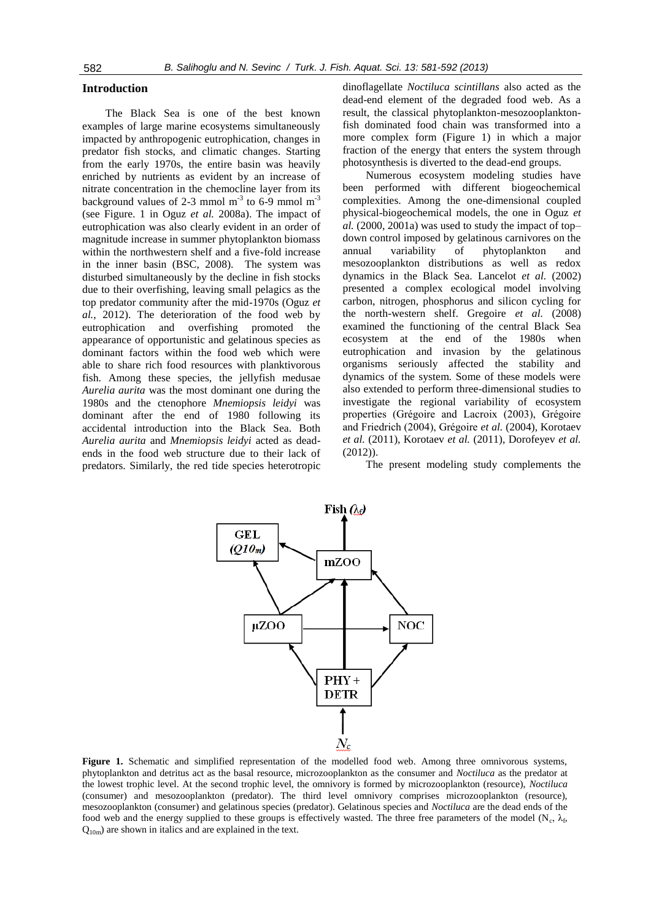#### **Introduction**

The Black Sea is one of the best known examples of large marine ecosystems simultaneously impacted by anthropogenic eutrophication, changes in predator fish stocks, and climatic changes. Starting from the early 1970s, the entire basin was heavily enriched by nutrients as evident by an increase of nitrate concentration in the chemocline layer from its background values of 2-3 mmol  $m^{-3}$  to 6-9 mmol  $m^{-3}$ (see Figure. 1 in Oguz *et al.* 2008a). The impact of eutrophication was also clearly evident in an order of magnitude increase in summer phytoplankton biomass within the northwestern shelf and a five-fold increase in the inner basin (BSC, 2008). The system was disturbed simultaneously by the decline in fish stocks due to their overfishing, leaving small pelagics as the top predator community after the mid-1970s (Oguz *et al.*, 2012). The deterioration of the food web by eutrophication and overfishing promoted the appearance of opportunistic and gelatinous species as dominant factors within the food web which were able to share rich food resources with planktivorous fish. Among these species, the jellyfish medusae *Aurelia aurita* was the most dominant one during the 1980s and the ctenophore *Mnemiopsis leidyi* was dominant after the end of 1980 following its accidental introduction into the Black Sea. Both *Aurelia aurita* and *Mnemiopsis leidyi* acted as deadends in the food web structure due to their lack of predators. Similarly, the red tide species heterotropic dinoflagellate *Noctiluca scintillans* also acted as the dead-end element of the degraded food web. As a result, the classical phytoplankton-mesozooplanktonfish dominated food chain was transformed into a more complex form (Figure 1) in which a major fraction of the energy that enters the system through photosynthesis is diverted to the dead-end groups.

Numerous ecosystem modeling studies have been performed with different biogeochemical complexities. Among the one-dimensional coupled physical-biogeochemical models, the one in Oguz *et al.* (2000, 2001a) was used to study the impact of top– down control imposed by gelatinous carnivores on the annual variability of phytoplankton and mesozooplankton distributions as well as redox dynamics in the Black Sea. Lancelot *et al.* (2002) presented a complex ecological model involving carbon, nitrogen, phosphorus and silicon cycling for the north-western shelf. Gregoire *et al.* (2008) examined the functioning of the central Black Sea ecosystem at the end of the 1980s when eutrophication and invasion by the gelatinous organisms seriously affected the stability and dynamics of the system. Some of these models were also extended to perform three-dimensional studies to investigate the regional variability of ecosystem properties (Grégoire and Lacroix (2003), Grégoire and Friedrich (2004), Grégoire *et al.* (2004), Korotaev *et al.* (2011), Korotaev *et al.* (2011), Dorofeyev *et al.* (2012)).

The present modeling study complements the



**Figure 1.** Schematic and simplified representation of the modelled food web. Among three omnivorous systems, phytoplankton and detritus act as the basal resource, microzooplankton as the consumer and *Noctiluca* as the predator at the lowest trophic level. At the second trophic level, the omnivory is formed by microzooplankton (resource), *Noctiluca* (consumer) and mesozooplankton (predator). The third level omnivory comprises microzooplankton (resource), mesozooplankton (consumer) and gelatinous species (predator). Gelatinous species and *Noctiluca* are the dead ends of the food web and the energy supplied to these groups is effectively wasted. The three free parameters of the model ( $N_c$ ,  $\lambda_f$ ,  $Q_{10m}$ ) are shown in italics and are explained in the text.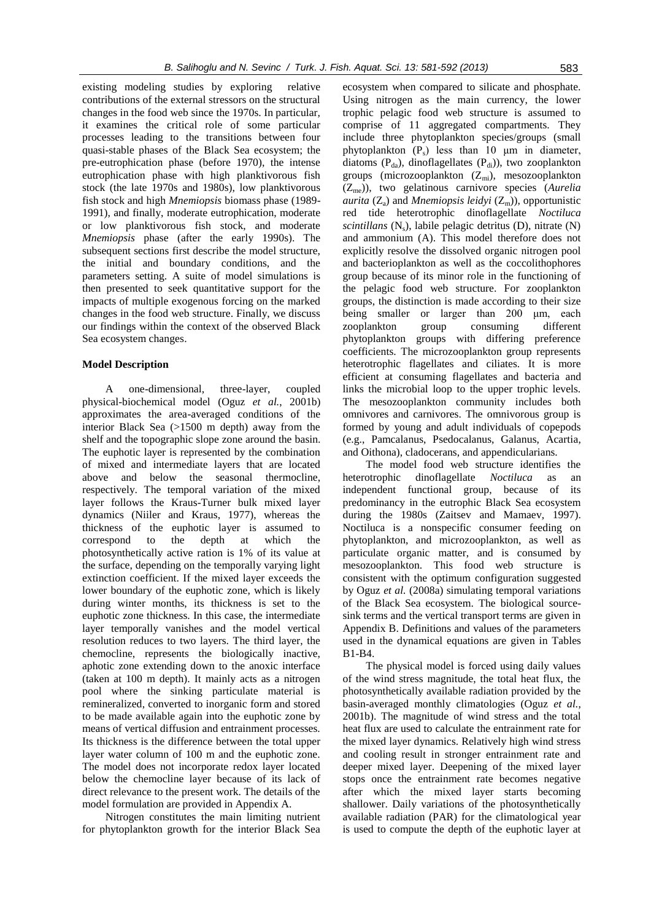existing modeling studies by exploring relative contributions of the external stressors on the structural changes in the food web since the 1970s. In particular, it examines the critical role of some particular processes leading to the transitions between four quasi-stable phases of the Black Sea ecosystem; the pre-eutrophication phase (before 1970), the intense eutrophication phase with high planktivorous fish stock (the late 1970s and 1980s), low planktivorous fish stock and high *Mnemiopsis* biomass phase (1989- 1991), and finally, moderate eutrophication, moderate or low planktivorous fish stock, and moderate *Mnemiopsis* phase (after the early 1990s). The subsequent sections first describe the model structure, the initial and boundary conditions, and the parameters setting. A suite of model simulations is then presented to seek quantitative support for the impacts of multiple exogenous forcing on the marked changes in the food web structure. Finally, we discuss our findings within the context of the observed Black Sea ecosystem changes.

## **Model Description**

A one-dimensional, three-layer, coupled physical-biochemical model (Oguz *et al.*, 2001b) approximates the area-averaged conditions of the interior Black Sea (>1500 m depth) away from the shelf and the topographic slope zone around the basin. The euphotic layer is represented by the combination of mixed and intermediate layers that are located above and below the seasonal thermocline, respectively. The temporal variation of the mixed layer follows the Kraus-Turner bulk mixed layer dynamics (Niiler and Kraus, 1977), whereas the thickness of the euphotic layer is assumed to correspond to the depth at which the photosynthetically active ration is 1% of its value at the surface, depending on the temporally varying light extinction coefficient. If the mixed layer exceeds the lower boundary of the euphotic zone, which is likely during winter months, its thickness is set to the euphotic zone thickness. In this case, the intermediate layer temporally vanishes and the model vertical resolution reduces to two layers. The third layer, the chemocline, represents the biologically inactive, aphotic zone extending down to the anoxic interface (taken at 100 m depth). It mainly acts as a nitrogen pool where the sinking particulate material is remineralized, converted to inorganic form and stored to be made available again into the euphotic zone by means of vertical diffusion and entrainment processes. Its thickness is the difference between the total upper layer water column of 100 m and the euphotic zone. The model does not incorporate redox layer located below the chemocline layer because of its lack of direct relevance to the present work. The details of the model formulation are provided in Appendix A.

Nitrogen constitutes the main limiting nutrient for phytoplankton growth for the interior Black Sea

ecosystem when compared to silicate and phosphate. Using nitrogen as the main currency, the lower trophic pelagic food web structure is assumed to comprise of 11 aggregated compartments. They include three phytoplankton species/groups (small phytoplankton  $(P_s)$  less than 10  $\mu$ m in diameter, diatoms ( $P_{da}$ ), dinoflagellates ( $P_{di}$ )), two zooplankton groups (microzooplankton  $(Z_{mi})$ , mesozooplankton (Zme)), two gelatinous carnivore species (*Aurelia aurita* ( $Z_a$ ) and *Mnemiopsis leidyi* ( $Z_m$ )), opportunistic red tide heterotrophic dinoflagellate *Noctiluca*   $scintillans$  (N<sub>s</sub>), labile pelagic detritus (D), nitrate (N) and ammonium (A). This model therefore does not explicitly resolve the dissolved organic nitrogen pool and bacterioplankton as well as the coccolithophores group because of its minor role in the functioning of the pelagic food web structure. For zooplankton groups, the distinction is made according to their size being smaller or larger than 200 μm, each zooplankton group consuming different phytoplankton groups with differing preference coefficients. The microzooplankton group represents heterotrophic flagellates and ciliates. It is more efficient at consuming flagellates and bacteria and links the microbial loop to the upper trophic levels. The mesozooplankton community includes both omnivores and carnivores. The omnivorous group is formed by young and adult individuals of copepods (e.g., Pamcalanus, Psedocalanus, Galanus, Acartia, and Oithona), cladocerans, and appendicularians.

The model food web structure identifies the heterotrophic dinoflagellate *Noctiluca* as an independent functional group, because of its predominancy in the eutrophic Black Sea ecosystem during the 1980s (Zaitsev and Mamaev, 1997). Noctiluca is a nonspecific consumer feeding on phytoplankton, and microzooplankton, as well as particulate organic matter, and is consumed by mesozooplankton. This food web structure is consistent with the optimum configuration suggested by Oguz *et al.* (2008a) simulating temporal variations of the Black Sea ecosystem. The biological sourcesink terms and the vertical transport terms are given in Appendix B. Definitions and values of the parameters used in the dynamical equations are given in Tables B1-B4.

The physical model is forced using daily values of the wind stress magnitude, the total heat flux, the photosynthetically available radiation provided by the basin-averaged monthly climatologies (Oguz *et al.*, 2001b). The magnitude of wind stress and the total heat flux are used to calculate the entrainment rate for the mixed layer dynamics. Relatively high wind stress and cooling result in stronger entrainment rate and deeper mixed layer. Deepening of the mixed layer stops once the entrainment rate becomes negative after which the mixed layer starts becoming shallower. Daily variations of the photosynthetically available radiation (PAR) for the climatological year is used to compute the depth of the euphotic layer at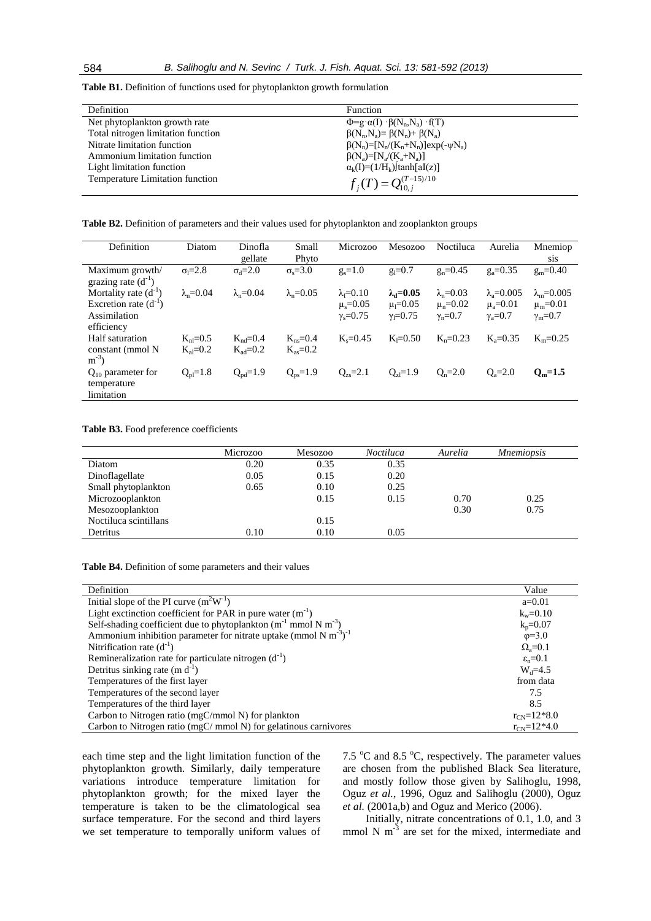**Table B1.** Definition of functions used for phytoplankton growth formulation

| Definition                         | Function                                              |
|------------------------------------|-------------------------------------------------------|
| Net phytoplankton growth rate      | $\Phi = g \alpha(I) \cdot \beta(N_n, N_a) \cdot f(T)$ |
| Total nitrogen limitation function | $\beta(N_n, N_a) = \beta(N_n) + \beta(N_a)$           |
| Nitrate limitation function        | $\beta(N_n) = [N_n/(K_n+N_n)]exp(-\psi N_a)$          |
| Ammonium limitation function       | $\beta(N_a) = [N_a/(K_a+N_a)]$                        |
| Light limitation function          | $\alpha_k(I)=(1/H_k)$  tanh[aI(z)]                    |
| Temperature Limitation function    | $f_i(T) = Q_{10,i}^{(T-15)/10}$                       |

**Table B2.** Definition of parameters and their values used for phytoplankton and zooplankton groups

| Definition                                                                           | Diatom                         | Dinofla<br>gellate                    | Small<br>Phyto               | Microzoo                                                            | <b>Mesozoo</b>                                            | Noctiluca                                                | Aurelia                                                             | Mnemiop<br><b>SiS</b>                                           |
|--------------------------------------------------------------------------------------|--------------------------------|---------------------------------------|------------------------------|---------------------------------------------------------------------|-----------------------------------------------------------|----------------------------------------------------------|---------------------------------------------------------------------|-----------------------------------------------------------------|
| Maximum growth/<br>grazing rate $(d^{-1})$                                           | $\sigma_1 = 2.8$               | $\sigma_d = 2.0$                      | $\sigma$ <sub>s</sub> =3.0   | $g_s = 1.0$                                                         | $g_l = 0.7$                                               | $g_n = 0.45$                                             | $g_a = 0.35$                                                        | $g_m = 0.40$                                                    |
| Mortality rate $(d^{-1})$<br>Excretion rate $(d^{-1})$<br>Assimilation<br>efficiency | $\lambda$ <sub>n</sub> =0.04   | $\lambda_n = 0.04$                    | $\lambda_n = 0.05$           | $\lambda_f = 0.10$<br>$\mu$ <sub>s</sub> =0.05<br>$\gamma_s = 0.75$ | $\lambda_d = 0.05$<br>$\mu_1 = 0.05$<br>$\gamma_1 = 0.75$ | $\lambda_n = 0.03$<br>$\mu_n = 0.02$<br>$\gamma_n = 0.7$ | $\lambda$ <sub>a</sub> =0.005<br>$\mu_a = 0.01$<br>$\gamma_a = 0.7$ | $\lambda_{\rm m} = 0.005$<br>$\mu_m = 0.01$<br>$\gamma_m = 0.7$ |
| Half saturation<br>constant (mmol N<br>$m^{-3}$                                      | $K_{nl} = 0.5$<br>$K_{al}=0.2$ | $K_{nd} = 0.4$<br>$K_{\text{ad}}=0.2$ | $K_{ns}=0.4$<br>$K_{as}=0.2$ | $K_s = 0.45$                                                        | $K_1 = 0.50$                                              | $K_n = 0.23$                                             | $K_{2} = 0.35$                                                      | $K_m = 0.25$                                                    |
| $Q_{10}$ parameter for<br>temperature<br>limitation                                  | $Q_{pl} = 1.8$                 | $Q_{pd} = 1.9$                        | $Q_{ps} = 1.9$               | $Q_{zs} = 2.1$                                                      | $Q_{z1} = 1.9$                                            | $Q_n = 2.0$                                              | $Q_a = 2.0$                                                         | $Q_m = 1.5$                                                     |

**Table B3.** Food preference coefficients

| Microzoo | <b>Mesozoo</b> | <b>Noctiluca</b> | Aurelia | <i>Mnemiopsis</i> |  |
|----------|----------------|------------------|---------|-------------------|--|
| 0.20     | 0.35           | 0.35             |         |                   |  |
| 0.05     | 0.15           | 0.20             |         |                   |  |
| 0.65     | 0.10           | 0.25             |         |                   |  |
|          | 0.15           | 0.15             | 0.70    | 0.25              |  |
|          |                |                  | 0.30    | 0.75              |  |
|          | 0.15           |                  |         |                   |  |
| 0.10     | 0.10           | 0.05             |         |                   |  |
|          |                |                  |         |                   |  |

**Table B4.** Definition of some parameters and their values

| Definition                                                                               | Value                    |
|------------------------------------------------------------------------------------------|--------------------------|
| Initial slope of the PI curve $(m^2W^1)$                                                 | $a=0.01$                 |
| Light exctinction coefficient for PAR in pure water $(m^{-1})$                           | $k_w = 0.10$             |
| Self-shading coefficient due to phytoplankton ( $m^{-1}$ mmol N $m^{-3}$ )               | $k_p = 0.07$             |
| Ammonium inhibition parameter for nitrate uptake (mmol N m <sup>-3</sup> ) <sup>-1</sup> | $\phi = 3.0$             |
| Nitrification rate $(d^{-1})$                                                            | $\Omega_a = 0.1$         |
| Remineralization rate for particulate nitrogen $(d^{-1})$                                | $\varepsilon_n = 0.1$    |
| Detritus sinking rate $(m d^{-1})$                                                       | $W_d = 4.5$              |
| Temperatures of the first layer                                                          | from data                |
| Temperatures of the second layer                                                         | 7.5                      |
| Temperatures of the third layer                                                          | 8.5                      |
| Carbon to Nitrogen ratio (mgC/mmol N) for plankton                                       | $r_{\text{CN}} = 12*8.0$ |
| Carbon to Nitrogen ratio ( $mgC/mmol$ N) for gelatinous carnivores                       | $r_{\text{CN}} = 12*4.0$ |

each time step and the light limitation function of the phytoplankton growth. Similarly, daily temperature variations introduce temperature limitation for phytoplankton growth; for the mixed layer the temperature is taken to be the climatological sea surface temperature. For the second and third layers we set temperature to temporally uniform values of 7.5  $\mathrm{^{\circ}C}$  and 8.5  $\mathrm{^{\circ}C}$ , respectively. The parameter values are chosen from the published Black Sea literature, and mostly follow those given by Salihoglu, 1998, Oguz *et al.*, 1996, Oguz and Salihoglu (2000), Oguz *et al.* (2001a,b) and Oguz and Merico (2006).

Initially, nitrate concentrations of 0.1, 1.0, and 3 mmol N  $m^{-3}$  are set for the mixed, intermediate and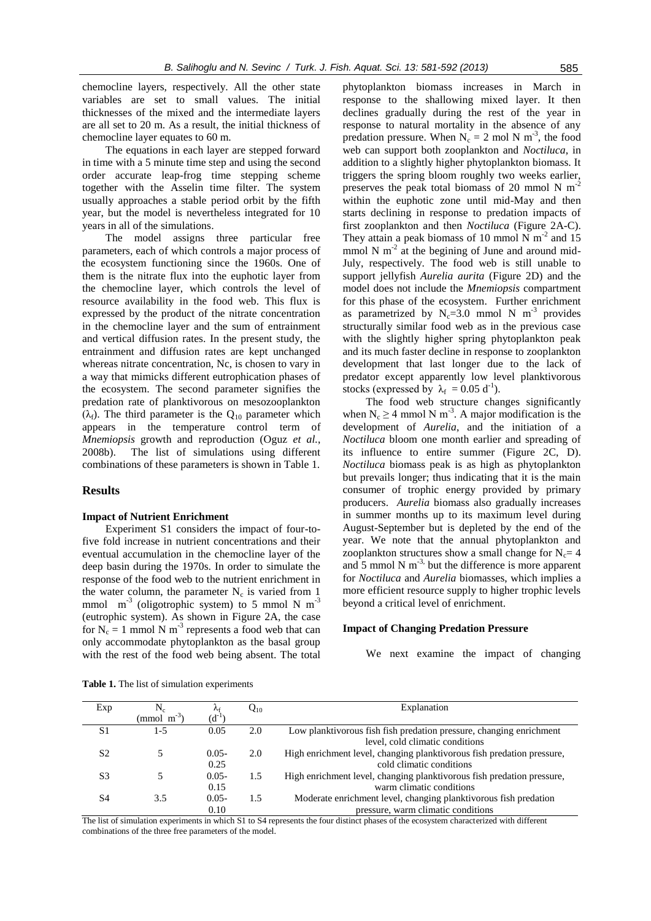chemocline layers, respectively. All the other state variables are set to small values. The initial thicknesses of the mixed and the intermediate layers are all set to 20 m. As a result, the initial thickness of chemocline layer equates to 60 m.

The equations in each layer are stepped forward in time with a 5 minute time step and using the second order accurate leap-frog time stepping scheme together with the Asselin time filter. The system usually approaches a stable period orbit by the fifth year, but the model is nevertheless integrated for 10 years in all of the simulations.

The model assigns three particular free parameters, each of which controls a major process of the ecosystem functioning since the 1960s. One of them is the nitrate flux into the euphotic layer from the chemocline layer, which controls the level of resource availability in the food web. This flux is expressed by the product of the nitrate concentration in the chemocline layer and the sum of entrainment and vertical diffusion rates. In the present study, the entrainment and diffusion rates are kept unchanged whereas nitrate concentration, Nc, is chosen to vary in a way that mimicks different eutrophication phases of the ecosystem. The second parameter signifies the predation rate of planktivorous on mesozooplankton  $(\lambda_f)$ . The third parameter is the Q<sub>10</sub> parameter which appears in the temperature control term of *Mnemiopsis* growth and reproduction (Oguz *et al.*, 2008b). The list of simulations using different combinations of these parameters is shown in Table 1.

#### **Results**

#### **Impact of Nutrient Enrichment**

Experiment S1 considers the impact of four-tofive fold increase in nutrient concentrations and their eventual accumulation in the chemocline layer of the deep basin during the 1970s. In order to simulate the response of the food web to the nutrient enrichment in the water column, the parameter  $N_c$  is varied from 1 mmol  $m^{-3}$  (oligotrophic system) to 5 mmol N  $m^{-3}$ (eutrophic system). As shown in Figure 2A, the case for  $N_c = 1$  mmol N m<sup>-3</sup> represents a food web that can only accommodate phytoplankton as the basal group with the rest of the food web being absent. The total

 $\lambda_{\rm f}$ 

0.10

phytoplankton biomass increases in March in response to the shallowing mixed layer. It then declines gradually during the rest of the year in response to natural mortality in the absence of any predation pressure. When  $N_c = 2$  mol N m<sup>-3</sup>, the food web can support both zooplankton and *Noctiluca*, in addition to a slightly higher phytoplankton biomass. It triggers the spring bloom roughly two weeks earlier, preserves the peak total biomass of 20 mmol N  $m^{-2}$ within the euphotic zone until mid-May and then starts declining in response to predation impacts of first zooplankton and then *Noctiluca* (Figure 2A-C). They attain a peak biomass of 10 mmol N  $\mathrm{m}^{-2}$  and 15 mmol N  $m<sup>2</sup>$  at the begining of June and around mid-July, respectively. The food web is still unable to support jellyfish *Aurelia aurita* (Figure 2D) and the model does not include the *Mnemiopsis* compartment for this phase of the ecosystem. Further enrichment as parametrized by  $N_c=3.0$  mmol N m<sup>-3</sup> provides structurally similar food web as in the previous case with the slightly higher spring phytoplankton peak and its much faster decline in response to zooplankton development that last longer due to the lack of predator except apparently low level planktivorous stocks (expressed by  $\lambda_f = 0.05 d^{-1}$ ).

The food web structure changes significantly when  $N_c \ge 4$  mmol N m<sup>-3</sup>. A major modification is the development of *Aurelia*, and the initiation of a *Noctiluca* bloom one month earlier and spreading of its influence to entire summer (Figure 2C, D). *Noctiluca* biomass peak is as high as phytoplankton but prevails longer; thus indicating that it is the main consumer of trophic energy provided by primary producers. *Aurelia* biomass also gradually increases in summer months up to its maximum level during August-September but is depleted by the end of the year. We note that the annual phytoplankton and zooplankton structures show a small change for  $N_c=4$ and 5 mmol N  $m^{-3}$ , but the difference is more apparent for *Noctiluca* and *Aurelia* biomasses, which implies a more efficient resource supply to higher trophic levels beyond a critical level of enrichment.

#### **Impact of Changing Predation Pressure**

1.5 Moderate enrichment level, changing planktivorous fish predation

We next examine the impact of changing

**Table 1.** The list of simulation experiments

S<sub>4</sub> 3.5 0.05-

 $Exp$   $N_c$ 

pressure, warm climatic conditions The list of simulation experiments in which S1 to S4 represents the four distinct phases of the ecosystem characterized with different combinations of the three free parameters of the model.

 $Q_{10}$  Explanation

|    | $(mmol \, m^{-3})$ | $(d^{-1})$ |     |                                                                        |
|----|--------------------|------------|-----|------------------------------------------------------------------------|
| S1 | 1-5                | 0.05       | 2.0 | Low planktivorous fish fish predation pressure, changing enrichment    |
|    |                    |            |     | level, cold climatic conditions                                        |
| S2 |                    | $0.05 -$   | 2.0 | High enrichment level, changing planktivorous fish predation pressure, |
|    |                    | 0.25       |     | cold climatic conditions                                               |
| S3 |                    | $0.05 -$   | 1.5 | High enrichment level, changing planktivorous fish predation pressure, |
|    |                    | 0.15       |     | warm climatic conditions                                               |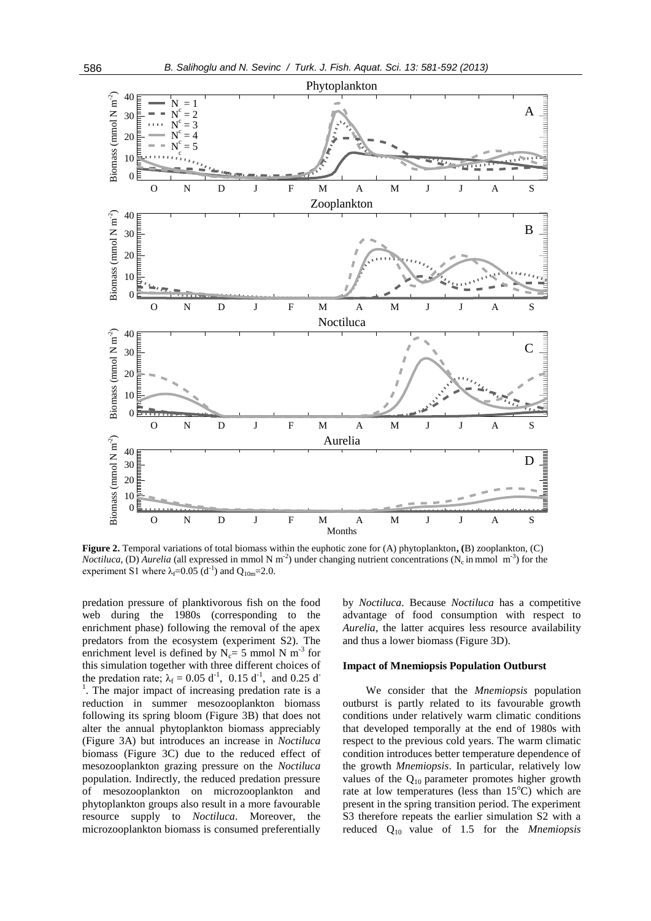

**Figure 2.** Temporal variations of total biomass within the euphotic zone for (A) phytoplankton**, (**B) zooplankton, (C) *Noctiluca*, (D) *Aurelia* (all expressed in mmol N m<sup>-2</sup>) under changing nutrient concentrations (N<sub>c</sub> in mmol m<sup>-3</sup>) for the experiment S1 where  $\lambda_f = 0.05$  (d<sup>-1</sup>) and Q<sub>10m</sub>=2.0.

predation pressure of planktivorous fish on the food web during the 1980s (corresponding to the enrichment phase) following the removal of the apex predators from the ecosystem (experiment S2). The enrichment level is defined by  $N_c = 5$  mmol N m<sup>-3</sup> for this simulation together with three different choices of the predation rate;  $\lambda_f = 0.05 \text{ d}^{-1}$ , 0.15 d<sup>-1</sup>, and 0.25 d<sup>-1</sup> <sup>1</sup>. The major impact of increasing predation rate is a reduction in summer mesozooplankton biomass following its spring bloom (Figure 3B) that does not alter the annual phytoplankton biomass appreciably (Figure 3A) but introduces an increase in *Noctiluca* biomass (Figure 3C) due to the reduced effect of mesozooplankton grazing pressure on the *Noctiluca* population. Indirectly, the reduced predation pressure of mesozooplankton on microzooplankton and phytoplankton groups also result in a more favourable resource supply to *Noctiluca*. Moreover, the microzooplankton biomass is consumed preferentially

by *Noctiluca*. Because *Noctiluca* has a competitive advantage of food consumption with respect to *Aurelia*, the latter acquires less resource availability and thus a lower biomass (Figure 3D).

#### **Impact of Mnemiopsis Population Outburst**

We consider that the *Mnemiopsis* population outburst is partly related to its favourable growth conditions under relatively warm climatic conditions that developed temporally at the end of 1980s with respect to the previous cold years. The warm climatic condition introduces better temperature dependence of the growth *Mnemiopsis*. In particular, relatively low values of the  $Q_{10}$  parameter promotes higher growth rate at low temperatures (less than  $15^{\circ}$ C) which are present in the spring transition period. The experiment S3 therefore repeats the earlier simulation S2 with a reduced Q10 value of 1.5 for the *Mnemiopsis*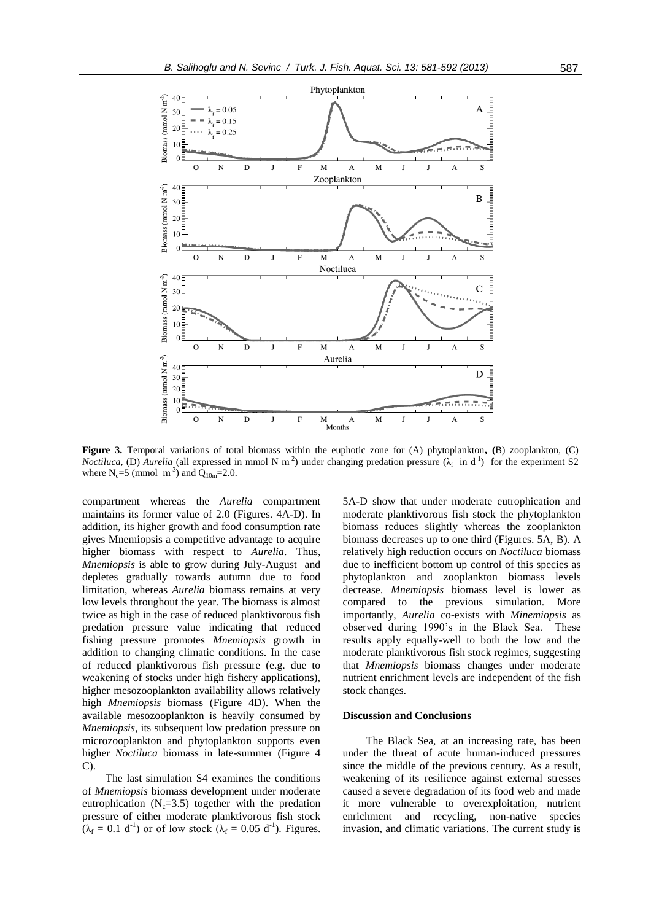

**Figure 3.** Temporal variations of total biomass within the euphotic zone for (A) phytoplankton**, (**B) zooplankton, (C) *Noctiluca*, (D) *Aurelia* (all expressed in mmol N m<sup>-2</sup>) under changing predation pressure  $(\lambda_f$  in d<sup>-1</sup>) for the experiment S2 where  $N_c = 5 \pmod{m^{-3}}$  and  $Q_{10m} = 2.0$ .

compartment whereas the *Aurelia* compartment maintains its former value of 2.0 (Figures. 4A-D). In addition, its higher growth and food consumption rate gives Mnemiopsis a competitive advantage to acquire higher biomass with respect to *Aurelia*. Thus, *Mnemiopsis* is able to grow during July-August and depletes gradually towards autumn due to food limitation, whereas *Aurelia* biomass remains at very low levels throughout the year. The biomass is almost twice as high in the case of reduced planktivorous fish predation pressure value indicating that reduced fishing pressure promotes *Mnemiopsis* growth in addition to changing climatic conditions. In the case of reduced planktivorous fish pressure (e.g. due to weakening of stocks under high fishery applications), higher mesozooplankton availability allows relatively high *Mnemiopsis* biomass (Figure 4D). When the available mesozooplankton is heavily consumed by *Mnemiopsis*, its subsequent low predation pressure on microzooplankton and phytoplankton supports even higher *Noctiluca* biomass in late-summer (Figure 4 C).

The last simulation S4 examines the conditions of *Mnemiopsis* biomass development under moderate eutrophication  $(N_c=3.5)$  together with the predation pressure of either moderate planktivorous fish stock  $(\lambda_f = 0.1 d^{-1})$  or of low stock  $(\lambda_f = 0.05 d^{-1})$ . Figures. 5A-D show that under moderate eutrophication and moderate planktivorous fish stock the phytoplankton biomass reduces slightly whereas the zooplankton biomass decreases up to one third (Figures. 5A, B). A relatively high reduction occurs on *Noctiluca* biomass due to inefficient bottom up control of this species as phytoplankton and zooplankton biomass levels decrease. *Mnemiopsis* biomass level is lower as compared to the previous simulation. More importantly, *Aurelia* co-exists with *Minemiopsis* as observed during 1990's in the Black Sea. These results apply equally-well to both the low and the moderate planktivorous fish stock regimes, suggesting that *Mnemiopsis* biomass changes under moderate nutrient enrichment levels are independent of the fish stock changes.

#### **Discussion and Conclusions**

The Black Sea, at an increasing rate, has been under the threat of acute human-induced pressures since the middle of the previous century. As a result, weakening of its resilience against external stresses caused a severe degradation of its food web and made it more vulnerable to overexploitation, nutrient enrichment and recycling, non-native species invasion, and climatic variations. The current study is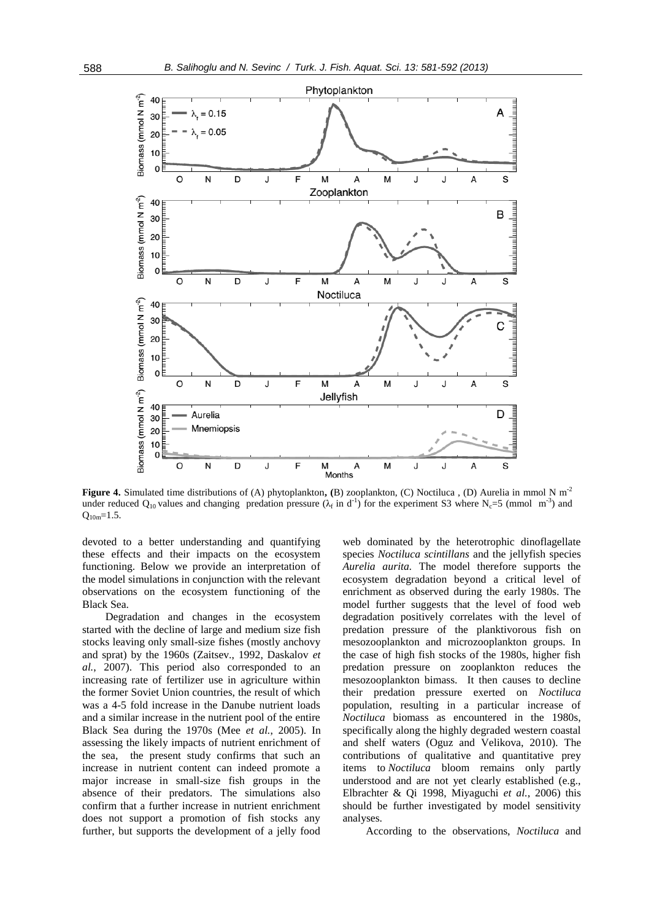

**Figure 4.** Simulated time distributions of (A) phytoplankton**, (**B) zooplankton, (C) Noctiluca , (D) Aurelia in mmol N m-2 under reduced Q<sub>10</sub> values and changing predation pressure ( $\lambda_f$  in d<sup>-1</sup>) for the experiment S3 where N<sub>c</sub>=5 (mmol m<sup>-3</sup>) and  $Q_{10m}=1.5$ .

devoted to a better understanding and quantifying these effects and their impacts on the ecosystem functioning. Below we provide an interpretation of the model simulations in conjunction with the relevant observations on the ecosystem functioning of the Black Sea.

Degradation and changes in the ecosystem started with the decline of large and medium size fish stocks leaving only small-size fishes (mostly anchovy and sprat) by the 1960s (Zaitsev., 1992, Daskalov *et al.*, 2007). This period also corresponded to an increasing rate of fertilizer use in agriculture within the former Soviet Union countries, the result of which was a 4-5 fold increase in the Danube nutrient loads and a similar increase in the nutrient pool of the entire Black Sea during the 1970s (Mee *et al.*, 2005). In assessing the likely impacts of nutrient enrichment of the sea, the present study confirms that such an increase in nutrient content can indeed promote a major increase in small-size fish groups in the absence of their predators. The simulations also confirm that a further increase in nutrient enrichment does not support a promotion of fish stocks any further, but supports the development of a jelly food

web dominated by the heterotrophic dinoflagellate species *Noctiluca scintillans* and the jellyfish species *Aurelia aurita.* The model therefore supports the ecosystem degradation beyond a critical level of enrichment as observed during the early 1980s. The model further suggests that the level of food web degradation positively correlates with the level of predation pressure of the planktivorous fish on mesozooplankton and microzooplankton groups. In the case of high fish stocks of the 1980s, higher fish predation pressure on zooplankton reduces the mesozooplankton bimass. It then causes to decline their predation pressure exerted on *Noctiluca* population, resulting in a particular increase of *Noctiluca* biomass as encountered in the 1980s, specifically along the highly degraded western coastal and shelf waters (Oguz and Velikova, 2010). The contributions of qualitative and quantitative prey items to *Noctiluca* bloom remains only partly understood and are not yet clearly established (e.g., Elbrachter & Qi 1998, Miyaguchi *et al.*, 2006) this should be further investigated by model sensitivity analyses.

According to the observations, *Noctiluca* and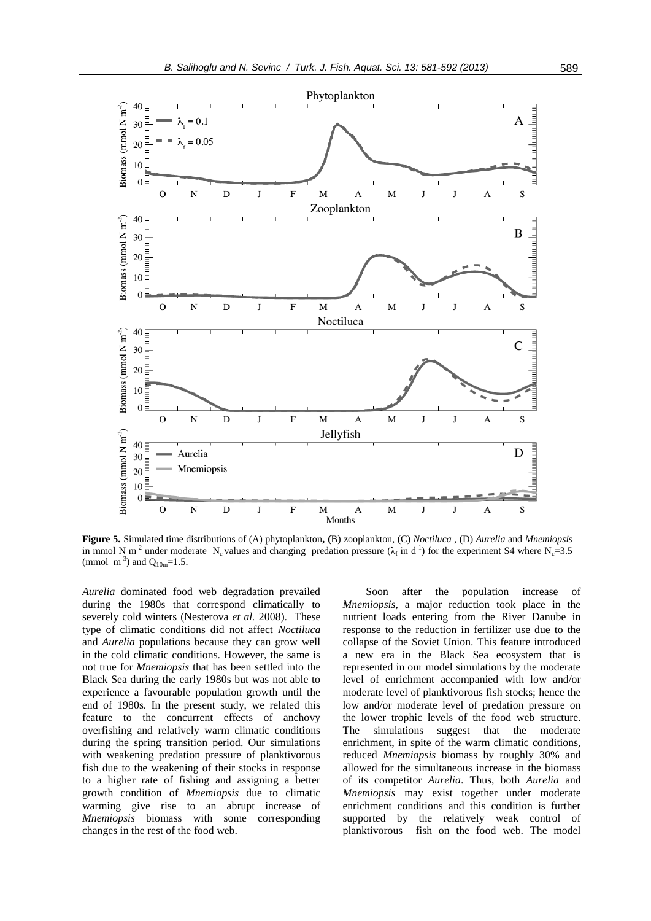

**Figure 5.** Simulated time distributions of (A) phytoplankton**, (**B) zooplankton, (C) *Noctiluca* , (D) *Aurelia* and *Mnemiopsis* in mmol N m<sup>-2</sup> under moderate N<sub>c</sub> values and changing predation pressure ( $\lambda_f$  in d<sup>-1</sup>) for the experiment S4 where N<sub>c</sub>=3.5 (mmol m<sup>-3</sup>) and  $Q_{10m}$ =1.5.

Months

*Aurelia* dominated food web degradation prevailed during the 1980s that correspond climatically to severely cold winters (Nesterova *et al.* 2008). These type of climatic conditions did not affect *Noctiluca*  and *Aurelia* populations because they can grow well in the cold climatic conditions. However, the same is not true for *Mnemiopsis* that has been settled into the Black Sea during the early 1980s but was not able to experience a favourable population growth until the end of 1980s. In the present study, we related this feature to the concurrent effects of anchovy overfishing and relatively warm climatic conditions during the spring transition period. Our simulations with weakening predation pressure of planktivorous fish due to the weakening of their stocks in response to a higher rate of fishing and assigning a better growth condition of *Mnemiopsis* due to climatic warming give rise to an abrupt increase of *Mnemiopsis* biomass with some corresponding changes in the rest of the food web.

Soon after the population increase of *Mnemiopsis*, a major reduction took place in the nutrient loads entering from the River Danube in response to the reduction in fertilizer use due to the collapse of the Soviet Union. This feature introduced a new era in the Black Sea ecosystem that is represented in our model simulations by the moderate level of enrichment accompanied with low and/or moderate level of planktivorous fish stocks; hence the low and/or moderate level of predation pressure on the lower trophic levels of the food web structure. The simulations suggest that the moderate enrichment, in spite of the warm climatic conditions, reduced *Mnemiopsis* biomass by roughly 30% and allowed for the simultaneous increase in the biomass of its competitor *Aurelia*. Thus, both *Aurelia* and *Mnemiopsis* may exist together under moderate enrichment conditions and this condition is further supported by the relatively weak control of planktivorous fish on the food web. The model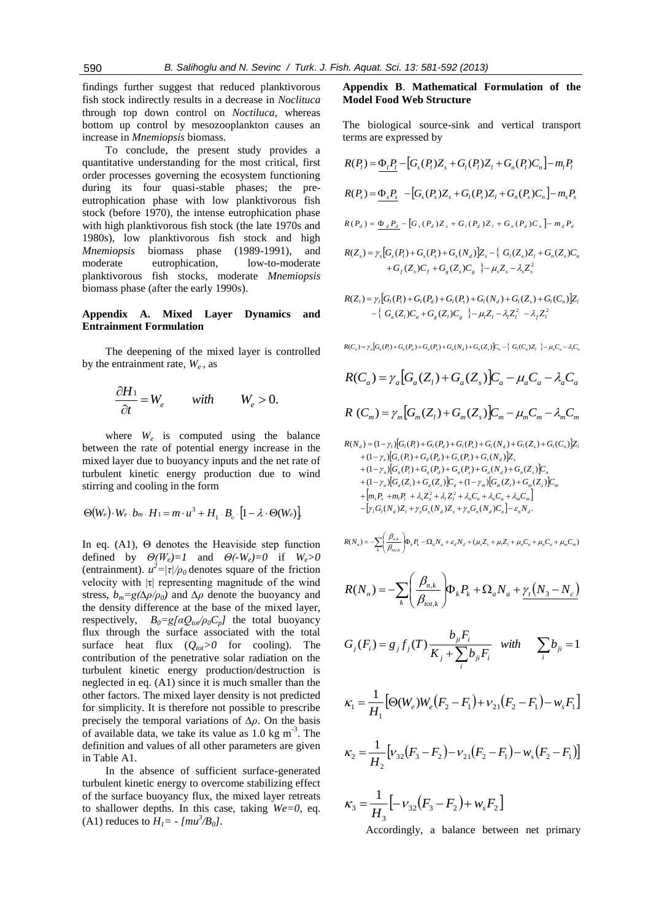findings further suggest that reduced planktivorous fish stock indirectly results in a decrease in *Noclituca* through top down control on *Noctiluca*, whereas bottom up control by mesozooplankton causes an increase in *Mnemiopsis* biomass.

To conclude, the present study provides a quantitative understanding for the most critical, first order processes governing the ecosystem functioning during its four quasi-stable phases; the preeutrophication phase with low planktivorous fish stock (before 1970), the intense eutrophication phase with high planktivorous fish stock (the late 1970s and 1980s), low planktivorous fish stock and high *Mnemiopsis* biomass phase (1989-1991), and moderate eutrophication, low-to-moderate planktivorous fish stocks, moderate *Mnemiopsis* biomass phase (after the early 1990s).

## **Appendix A. Mixed Layer Dynamics and Entrainment Formulation**

The deepening of the mixed layer is controlled by the entrainment rate,  $W_e$ , as

$$
\frac{\partial H_1}{\partial t} = W_e \qquad \text{with} \qquad W_e > 0.
$$

where  $W_e$  is computed using the balance between the rate of potential energy increase in the mixed layer due to buoyancy inputs and the net rate of turbulent kinetic energy production due to wind stirring and cooling in the form

$$
\Theta(W_e)\cdot W_e\cdot b_m\cdot H_1=m\cdot u^3+H_1\cdot B_o\cdot[1-\lambda\cdot\Theta(W_e)]
$$

In eq. (A1), Θ denotes the Heaviside step function defined by  $\Theta(W_e)=1$  and  $\Theta(-W_e)=0$  if  $W_e>0$ (entrainment).  $u^2 = |\tau|/\rho_0$  denotes square of the friction velocity with  $|\tau|$  representing magnitude of the wind stress,  $b_m = g(\Delta \rho/\rho_0)$  and  $\Delta \rho$  denote the buoyancy and the density difference at the base of the mixed layer, respectively,  $B_0 = g[\alpha Q_{tot}/\rho_0 C_p]$  the total buoyancy flux through the surface associated with the total surface heat flux  $(Q_{tot} > 0$  for cooling). The contribution of the penetrative solar radiation on the turbulent kinetic energy production/destruction is neglected in eq. (A1) since it is much smaller than the other factors. The mixed layer density is not predicted for simplicity. It is therefore not possible to prescribe precisely the temporal variations of *∆ρ*. On the basis of available data, we take its value as  $1.0 \text{ kg m}^{-3}$ . The definition and values of all other parameters are given in Table A1.

In the absence of sufficient surface-generated turbulent kinetic energy to overcome stabilizing effect of the surface buoyancy flux, the mixed layer retreats to shallower depths. In this case, taking  $We=0$ , eq. (A1) reduces to  $H_1 = -[mu^3/B_0]$ .

## **Appendix B**. **Mathematical Formulation of the Model Food Web Structure**

The biological source-sink and vertical transport terms are expressed by

$$
R(P_i) = \underbrace{\Phi_i P_i}_{s} - [G_s(P_i)Z_s + G_l(P_i)Z_l + G_n(P_i)C_n] - m_i P_i
$$
\n
$$
R(P_s) = \underbrace{\Phi_s P_s}_{s} - [G_s(P_s)Z_s + G_l(P_s)Z_l + G_n(P_s)C_n] - m_s P_s
$$
\n
$$
R(P_d) = \underbrace{\Phi_d P_d}_{s} - [G_s(P_d)Z_s + G_l(P_d)Z_l + G_n(P_d)C_n] - m_d P_d
$$

$$
R(Z_s) = \gamma_s [G_s(P_t) + G_s(P_s) + G_s(N_d)]Z_s - \{ G_t(Z_s)Z_t + G_n(Z_s)C_n + G_f(Z_s)C_f + G_g(Z_s)C_g \} - \mu_s Z_s - \lambda_s Z_s^2
$$

$$
R(Z_i) = \gamma_i \Big[ G_i(P_i) + G_i(P_a) + G_i(P_s) + G_i(N_a) + G_i(Z_s) + G_i(C_n) \Big] Z_i
$$
  
 
$$
- \Big\{ G_a(Z_i) C_a + G_g(Z_i) C_g \Big\} - \mu_i Z_i - \lambda_i Z_i^2 - \lambda_j Z_i^2
$$

$$
R(C_n) = \gamma_n \Big[ G_n(P_i) + G_n(P_d) + G_n(P_s) + G_n(N_d) + G_n(Z_s) \Big] C_n - \Big\{ G_i(C_n) Z_i \Big\} - \mu_n C_n - \lambda_i C_n
$$

$$
R(C_a) = \gamma_a \Big[ G_a(Z_l) + G_a(Z_s) \Big] C_a - \mu_a C_a - \lambda_a C_a
$$
  

$$
R(C_m) = \gamma_m \Big[ G_m(Z_l) + G_m(Z_s) \Big] C_m - \mu_m C_m - \lambda_m C_m
$$

$$
R(N_d) = (1 - \gamma_i) [G_i(P_i) + G_i(P_d) + G_i(P_s) + G_i(N_d) + G_i(Z_s) + G_i(C_n)]Z_i
$$
  
+ 
$$
(1 - \gamma_s) [G_s(P_i) + G_d(P_d) + G_s(P_s) + G_s(N_d)]Z_s
$$
  
+ 
$$
(1 - \gamma_n) [G_n(P_i) + G_n(P_d) + G_n(P_s) + G_n(N_d) + G_n(Z_s)]C_n
$$
  
+ 
$$
(1 - \gamma_a) [G_a(Z_i) + G_a(Z_s)]C_a + (1 - \gamma_m) [G_m(Z_i) + G_m(Z_s)]C_m
$$
  
+ 
$$
[m_s P_s + m_i P_i + \lambda_s Z_s^2 + \lambda_i Z_i^2 + \lambda_n C_n + \lambda_a C_a + \lambda_m C_m]
$$
  
- 
$$
[\gamma_i G_i(N_d) Z_i + \gamma_s G_s(N_d) Z_s + \gamma_n G_n(N_d) C_n] - \varepsilon_n N_d.
$$

( ) ( ) , *k k a a d d s s l l n n a a m m k tot k <sup>a</sup> <sup>k</sup> R N<sup>a</sup> P N N Z Z C C C* 

$$
R(N_n) = -\sum_{k} \left(\frac{\beta_{n,k}}{\beta_{tot,k}}\right) \Phi_k P_k + \Omega_a N_a + \underline{\gamma_t (N_3 - N_c)}
$$

$$
G_j(F_i) = g_j f_j(T) \frac{b_{ji} F_i}{K_j + \sum_{i} b_{ji} F_i} \quad with \quad \sum_{i} b_{ji} = 1
$$

$$
\kappa_1 = \frac{1}{H_1} \big[ \Theta(W_e) W_e \big( F_2 - F_1 \big) + \nu_{21} \big( F_2 - F_1 \big) - \nu_s F_1 \big]
$$

$$
\kappa_2 = \frac{1}{H_2} \Big[ v_{32} (F_3 - F_2) - v_{21} (F_2 - F_1) - w_s (F_2 - F_1) \Big]
$$

$$
\kappa_3 = \frac{1}{H_3} \left[ -\nu_{32} (F_3 - F_2) + \nu_s F_2 \right]
$$

Accordingly, a balance between net primary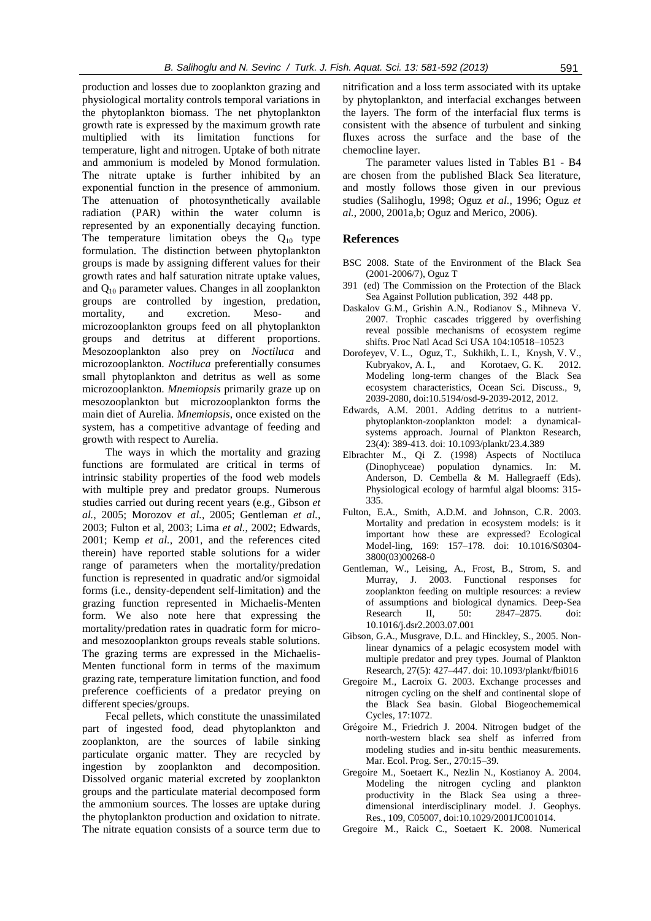production and losses due to zooplankton grazing and physiological mortality controls temporal variations in the phytoplankton biomass. The net phytoplankton growth rate is expressed by the maximum growth rate multiplied with its limitation functions for temperature, light and nitrogen. Uptake of both nitrate and ammonium is modeled by Monod formulation. The nitrate uptake is further inhibited by an exponential function in the presence of ammonium. The attenuation of photosynthetically available radiation (PAR) within the water column is represented by an exponentially decaying function. The temperature limitation obeys the  $Q_{10}$  type formulation. The distinction between phytoplankton groups is made by assigning different values for their growth rates and half saturation nitrate uptake values, and  $Q_{10}$  parameter values. Changes in all zooplankton groups are controlled by ingestion, predation, mortality, and excretion. Meso- and microzooplankton groups feed on all phytoplankton groups and detritus at different proportions. Mesozooplankton also prey on *Noctiluca* and microzooplankton. *Noctiluca* preferentially consumes small phytoplankton and detritus as well as some microzooplankton. *Mnemiopsis* primarily graze up on mesozooplankton but microzooplankton forms the main diet of Aurelia. *Mnemiopsis*, once existed on the system, has a competitive advantage of feeding and growth with respect to Aurelia.

The ways in which the mortality and grazing functions are formulated are critical in terms of intrinsic stability properties of the food web models with multiple prey and predator groups. Numerous studies carried out during recent years (e.g., Gibson *et al.*, 2005; Morozov *et al.*, 2005; Gentleman *et al.*, 2003; Fulton et al, 2003; Lima *et al.*, 2002; Edwards, 2001; Kemp *et al.*, 2001, and the references cited therein) have reported stable solutions for a wider range of parameters when the mortality/predation function is represented in quadratic and/or sigmoidal forms (i.e., density-dependent self-limitation) and the grazing function represented in Michaelis-Menten form. We also note here that expressing the mortality/predation rates in quadratic form for microand mesozooplankton groups reveals stable solutions. The grazing terms are expressed in the Michaelis-Menten functional form in terms of the maximum grazing rate, temperature limitation function, and food preference coefficients of a predator preying on different species/groups.

Fecal pellets, which constitute the unassimilated part of ingested food, dead phytoplankton and zooplankton, are the sources of labile sinking particulate organic matter. They are recycled by ingestion by zooplankton and decomposition. Dissolved organic material excreted by zooplankton groups and the particulate material decomposed form the ammonium sources. The losses are uptake during the phytoplankton production and oxidation to nitrate. The nitrate equation consists of a source term due to nitrification and a loss term associated with its uptake by phytoplankton, and interfacial exchanges between the layers. The form of the interfacial flux terms is consistent with the absence of turbulent and sinking fluxes across the surface and the base of the chemocline layer.

The parameter values listed in Tables B1 - B4 are chosen from the published Black Sea literature, and mostly follows those given in our previous studies (Salihoglu, 1998; Oguz *et al.*, 1996; Oguz *et al.*, 2000, 2001a,b; Oguz and Merico, 2006).

## **References**

- BSC 2008. State of the Environment of the Black Sea (2001-2006/7), Oguz T
- 391 (ed) The Commission on the Protection of the Black Sea Against Pollution publication, 392 448 pp.
- Daskalov G.M., Grishin A.N., Rodianov S., Mihneva V. 2007. Trophic cascades triggered by overfishing reveal possible mechanisms of ecosystem regime shifts. Proc Natl Acad Sci USA 104:10518–10523
- Dorofeyev, V. L., Oguz, T., Sukhikh, L. I., Knysh, V. V., Kubryakov, A. I., and Korotaev, G. K. 2012. Modeling long-term changes of the Black Sea ecosystem characteristics, Ocean Sci. Discuss., 9, 2039-2080, doi:10.5194/osd-9-2039-2012, 2012.
- Edwards, A.M. 2001. Adding detritus to a nutrientphytoplankton-zooplankton model: a dynamicalsystems approach. Journal of Plankton Research, 23(4): 389-413. doi: 10.1093/plankt/23.4.389
- Elbrachter M., Qi Z. (1998) Aspects of Noctiluca (Dinophyceae) population dynamics. In: M. Anderson, D. Cembella & M. Hallegraeff (Eds). Physiological ecology of harmful algal blooms: 315- 335.
- Fulton, E.A., Smith, A.D.M. and Johnson, C.R. 2003. Mortality and predation in ecosystem models: is it important how these are expressed? Ecological Model-ling, 169: 157–178. doi: 10.1016/S0304- 3800(03)00268-0
- Gentleman, W., Leising, A., Frost, B., Strom, S. and Murray, J. 2003. Functional responses for zooplankton feeding on multiple resources: a review of assumptions and biological dynamics. Deep-Sea Research II, 50: 2847–2875. doi: 10.1016/j.dsr2.2003.07.001
- Gibson, G.A., Musgrave, D.L. and Hinckley, S., 2005. Nonlinear dynamics of a pelagic ecosystem model with multiple predator and prey types. Journal of Plankton Research, 27(5): 427–447. doi: 10.1093/plankt/fbi016
- Gregoire M., Lacroix G. 2003. Exchange processes and nitrogen cycling on the shelf and continental slope of the Black Sea basin. Global Biogeochememical Cycles, 17:1072.
- Grégoire M., Friedrich J. 2004. Nitrogen budget of the north-western black sea shelf as inferred from modeling studies and in-situ benthic measurements. Mar. Ecol. Prog. Ser., 270:15–39.
- Gregoire M., Soetaert K., Nezlin N., Kostianoy A. 2004. Modeling the nitrogen cycling and plankton productivity in the Black Sea using a threedimensional interdisciplinary model. J. Geophys. Res., 109, C05007, doi:10.1029/2001JC001014.
- Gregoire M., Raick C., Soetaert K. 2008. Numerical